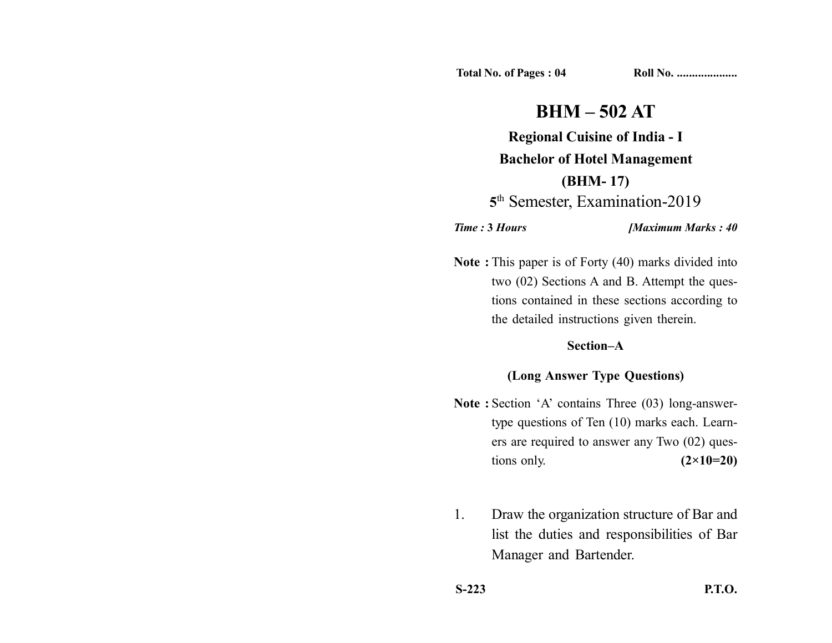**Total No. of Pages : 04 Roll No. ...................** 

# **BHM – 502 AT**

**Regional Cuisine of India - I Bachelor of Hotel Management (BHM- 17) 5**th Semester, Examination-2019

*Time :* **3** *Hours [Maximum Marks : 40*

**Note :** This paper is of Forty (40) marks divided into two (02) Sections A and B. Attempt the questions contained in these sections according to the detailed instructions given therein.

#### **Section–A**

### **(Long Answer Type Questions)**

- **Note :** Section 'A' contains Three (03) long-answertype questions of Ten (10) marks each. Learners are required to answer any Two (02) questions only. **(2×10=20)**
- 1. Draw the organization structure of Bar and list the duties and responsibilities of Bar Manager and Bartender.

**S-223 P.T.O.**